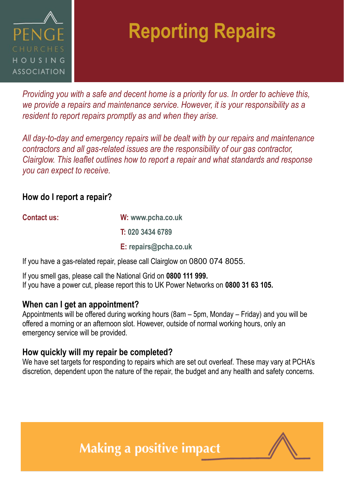

## **Reporting Repairs**

*Providing you with a safe and decent home is a priority for us. In order to achieve this, we provide a repairs and maintenance service. However, it is your responsibility as a resident to report repairs promptly as and when they arise.* 

*All day-to-day and emergency repairs will be dealt with by our repairs and maintenance contractors and all gas-related issues are the responsibility of our gas contractor, Clairglow. This leaflet outlines how to report a repair and what standards and response you can expect to receive.* 

#### **How do I report a repair?**

| <b>Contact us:</b> | W: www.pcha.co.uk     |
|--------------------|-----------------------|
|                    | T: 020 3434 6789      |
|                    | E: repairs@pcha.co.uk |

If you have a gas-related repair, please call Clairglow on 0800 074 8055.

If you smell gas, please call the National Grid on **0800 111 999.** If you have a power cut, please report this to UK Power Networks on **0800 31 63 105.**

### **When can I get an appointment?**

Appointments will be offered during working hours (8am – 5pm, Monday – Friday) and you will be offered a morning or an afternoon slot. However, outside of normal working hours, only an emergency service will be provided.

### **How quickly will my repair be completed?**

We have set targets for responding to repairs which are set out overleaf. These may vary at PCHA's discretion, dependent upon the nature of the repair, the budget and any health and safety concerns.



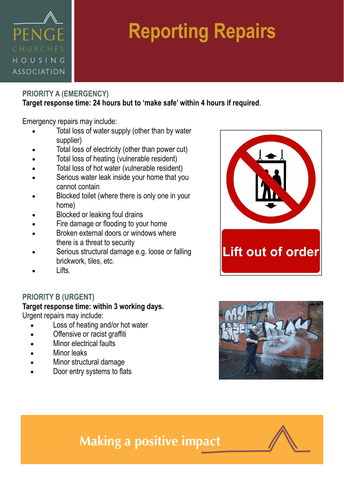### PENG HOUSING **ASSOCIATION**

# **Reporting Repairs**

#### **PRIORITY A (EMERGENCY) Target response time: 24 hours but to 'make safe' within 4 hours if required**.

Emergency repairs may include:

- Total loss of water supply (other than by water supplier)
- Total loss of electricity (other than power cut)
- Total loss of heating (vulnerable resident)
- Total loss of hot water (vulnerable resident)
- Serious water leak inside your home that you cannot contain
- Blocked toilet (where there is only one in your home)
- Blocked or leaking foul drains
- Fire damage or flooding to your home
- Broken external doors or windows where there is a threat to security
- Serious structural damage e.g. loose or falling brickwork, tiles, etc.
- Lifts.

#### **PRIORITY B (URGENT)**

### **Target response time: within 3 working days.**

Urgent repairs may include:

- Loss of heating and/or hot water
- Offensive or racist graffiti
- Minor electrical faults
- Minor leaks
- Minor structural damage
- Door entry systems to flats





### **Making a positive impact**